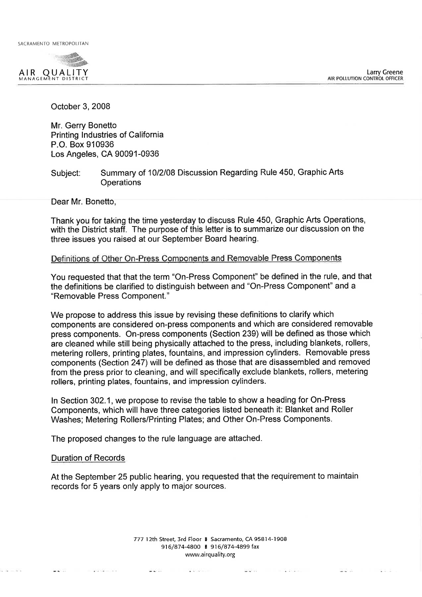SACRAMENTO METROPOLITAN



October 3, 2008

Mr. Gerry Bonetto Printing Industries of California P.O. Box 910936 Los Angeles, CA 90091-0936

Summary of 10/2/08 Discussion Regarding Rule 450, Graphic Arts Subject: Operations

Dear Mr. Bonetto,

Thank you for taking the time yesterday to discuss Rule 450, Graphic Arts Operations, with the District staff. The purpose of this letter is to summarize our discussion on the three issues you raised at our September Board hearing.

## Definitions of Other On-Press Components and Removable Press Components

You requested that that the term "On-Press Component" be defined in the rule, and that the definitions be clarified to distinguish between and "On-Press Component" and a "Removable Press Component."

We propose to address this issue by revising these definitions to clarify which components are considered on-press components and which are considered removable press components. On-press components (Section 239) will be defined as those which are cleaned while still being physically attached to the press, including blankets, rollers, metering rollers, printing plates, fountains, and impression cylinders. Removable press components (Section 247) will be defined as those that are disassembled and removed from the press prior to cleaning, and will specifically exclude blankets, rollers, metering rollers, printing plates, fountains, and impression cylinders.

In Section 302.1, we propose to revise the table to show a heading for On-Press Components, which will have three categories listed beneath it: Blanket and Roller Washes: Metering Rollers/Printing Plates; and Other On-Press Components.

The proposed changes to the rule language are attached.

 $-1$ 

### **Duration of Records**

- 1960 (2000) 1974

 $\frac{1}{2}$   $\frac{1}{2}$   $\frac{1}{2}$   $\frac{1}{2}$   $\frac{1}{2}$   $\frac{1}{2}$   $\frac{1}{2}$   $\frac{1}{2}$ 

 $...$ 

At the September 25 public hearing, you requested that the requirement to maintain records for 5 years only apply to major sources.

> 777 12th Street, 3rd Floor # Sacramento, CA 95814-1908 916/874-4800 | 916/874-4899 fax www.airquality.org

> > 박사장 아이들은 이 가족이 있습니다.

 $-1$ 

William - 1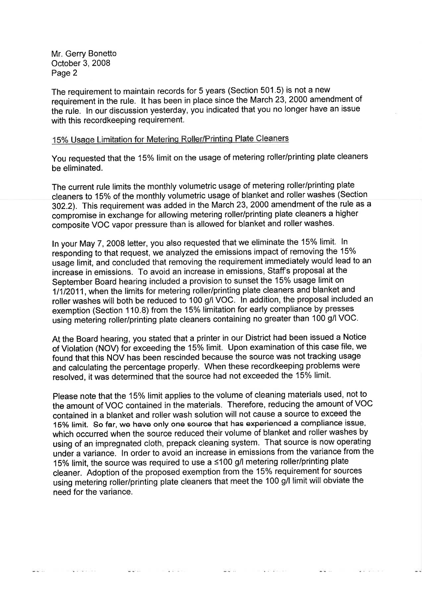Mr. Gerry Bonetto October 3, 2008 Page 2

The requirement to maintain records for 5 years (Section 501.5) is not a new requirement in the rule. It has been in place since the March 23, 2000 amendment of the rule. In our discussion yesterday, you indicated that you no longer have an issue with this recordkeeping requirement.

# 15% Usage Limitation for Metering Roller/Printing Plate Cleaners

You requested that the 15% limit on the usage of metering roller/printing plate cleaners be eliminated.

The current rule limits the monthly volumetric usage of metering roller/printing plate cleaners to 15% of the monthly volumetric usage of blanket and roller washes (Section 302.2). This requirement was added in the March 23, 2000 amendment of the rule as a compromise in exchange for allowing metering roller/printing plate cleaners a higher composite VOC vapor pressure than is allowed for blanket and roller washes.

In your May 7, 2008 letter, you also requested that we eliminate the 15% limit. In responding to that request, we analyzed the emissions impact of removing the 15% usage limit, and concluded that removing the requirement immediately would lead to an increase in emissions. To avoid an increase in emissions, Staff's proposal at the September Board hearing included a provision to sunset the 15% usage limit on 1/1/2011, when the limits for metering roller/printing plate cleaners and blanket and roller washes will both be reduced to 100 g/l VOC. In addition, the proposal included an exemption (Section 110.8) from the 15% limitation for early compliance by presses using metering roller/printing plate cleaners containing no greater than 100 g/l VOC.

At the Board hearing, you stated that a printer in our District had been issued a Notice of Violation (NOV) for exceeding the 15% limit. Upon examination of this case file, we found that this NOV has been rescinded because the source was not tracking usage and calculating the percentage properly. When these recordkeeping problems were resolved, it was determined that the source had not exceeded the 15% limit.

Please note that the 15% limit applies to the volume of cleaning materials used, not to the amount of VOC contained in the materials. Therefore, reducing the amount of VOC contained in a blanket and roller wash solution will not cause a source to exceed the 15% limit. So far, we have only one source that has experienced a compliance issue, which occurred when the source reduced their volume of blanket and roller washes by using of an impregnated cloth, prepack cleaning system. That source is now operating under a variance. In order to avoid an increase in emissions from the variance from the 15% limit, the source was required to use a ≤100 g/l metering roller/printing plate cleaner. Adoption of the proposed exemption from the 15% requirement for sources using metering roller/printing plate cleaners that meet the 100 g/l limit will obviate the need for the variance.

 $\frac{1}{2} \sum_{i=1}^{n} \frac{1}{2} \sum_{i=1}^{n} \frac{1}{2} \sum_{i=1}^{n} \frac{1}{2} \sum_{i=1}^{n} \frac{1}{2} \sum_{i=1}^{n} \frac{1}{2} \sum_{i=1}^{n} \frac{1}{2} \sum_{i=1}^{n} \frac{1}{2} \sum_{i=1}^{n} \frac{1}{2} \sum_{i=1}^{n} \frac{1}{2} \sum_{i=1}^{n} \frac{1}{2} \sum_{i=1}^{n} \frac{1}{2} \sum_{i=1}^{n} \frac{1}{2} \sum_{i=1}^{n$ 

 $\sim 10$ 

**BASK COMPANY** 

박물가 아이들이 아이들은 아이들이 없었다.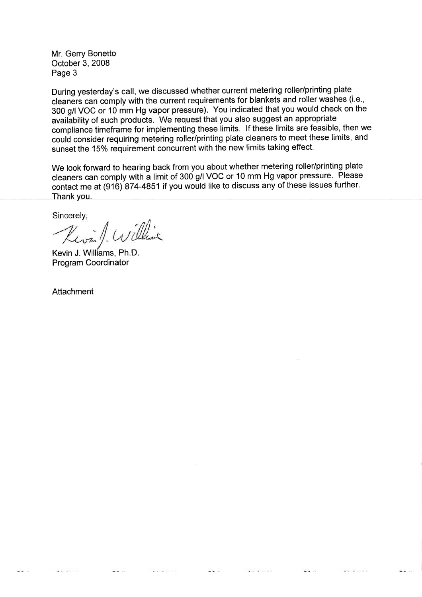Mr. Gerry Bonetto October 3, 2008 Page 3

During yesterday's call, we discussed whether current metering roller/printing plate cleaners can comply with the current requirements for blankets and roller washes (i.e., 300 g/l VOC or 10 mm Hg vapor pressure). You indicated that you would check on the availability of such products. We request that you also suggest an appropriate compliance timeframe for implementing these limits. If these limits are feasible, then we could consider requiring metering roller/printing plate cleaners to meet these limits, and sunset the 15% requirement concurrent with the new limits taking effect.

We look forward to hearing back from you about whether metering roller/printing plate cleaners can comply with a limit of 300 g/l VOC or 10 mm Hg vapor pressure. Please contact me at (916) 874-4851 if you would like to discuss any of these issues further. Thank you.

 $-1$ 

 $-1$ 

Sincerely,

Kevin / William

Kevin J. Williams. Ph.D. **Program Coordinator** 

Attachment

 $-1$ 

Park and

 $\sim$   $\sim$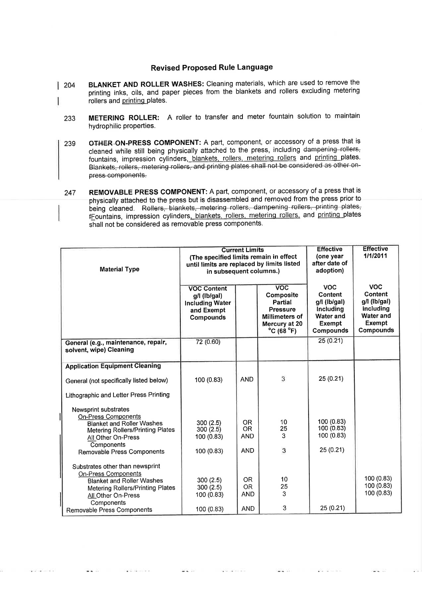## **Revised Proposed Rule Language**

- BLANKET AND ROLLER WASHES: Cleaning materials, which are used to remove the  $\vert$  204 printing inks, oils, and paper pieces from the blankets and rollers excluding metering rollers and printing plates.
	- METERING ROLLER: A roller to transfer and meter fountain solution to maintain 233 hydrophilic properties.
	- OTHER ON-PRESS COMPONENT: A part, component, or accessory of a press that is 239 cleaned while still being physically attached to the press, including dampening rollers fountains, impression cylinders, blankets, rollers, metering rollers and printing plates. Blankets, rollers, metering rollers, and printing plates shall not be considered as other onpress components.
	- REMOVABLE PRESS COMPONENT: A part, component, or accessory of a press that is 247 physically attached to the press but is disassembled and removed from the press prior to being cleaned. Rollers, blankets, metering rollers, dampening rollers, printing plates, fFountains, impression cylinders, blankets, rollers, metering rollers, and printing plates shall not be considered as removable press components.

| <b>Material Type</b>                                                                                                                                                                             | <b>Current Limits</b><br>(The specified limits remain in effect<br>until limits are replaced by limits listed<br>in subsequent columns.) |                          |                                                                                                                                   | <b>Effective</b><br>(one year<br>after date of<br>adoption)                            | <b>Effective</b><br>1/1/2011                                                                    |
|--------------------------------------------------------------------------------------------------------------------------------------------------------------------------------------------------|------------------------------------------------------------------------------------------------------------------------------------------|--------------------------|-----------------------------------------------------------------------------------------------------------------------------------|----------------------------------------------------------------------------------------|-------------------------------------------------------------------------------------------------|
|                                                                                                                                                                                                  | <b>VOC Content</b><br>g/l (lb/gal)<br><b>Including Water</b><br>and Exempt<br>Compounds                                                  |                          | <b>VOC</b><br>Composite<br>Partial<br><b>Pressure</b><br><b>Millimeters of</b><br>Mercury at 20<br>$^{\circ}$ C (68 $^{\circ}$ F) | <b>VOC</b><br>Content<br>q/l (lb/gal)<br>Including<br>Water and<br>Exempt<br>Compounds | <b>VOC</b><br>Content<br>$q/l$ (lb/gal)<br>Including<br><b>Water and</b><br>Exempt<br>Compounds |
| General (e.g., maintenance, repair,<br>solvent, wipe) Cleaning                                                                                                                                   | 72(0.60)                                                                                                                                 |                          |                                                                                                                                   | 25(0.21)                                                                               |                                                                                                 |
| <b>Application Equipment Cleaning</b>                                                                                                                                                            |                                                                                                                                          |                          |                                                                                                                                   |                                                                                        |                                                                                                 |
| General (not specifically listed below)                                                                                                                                                          | 100 (0.83)                                                                                                                               | <b>AND</b>               | 3                                                                                                                                 | 25 (0.21)                                                                              |                                                                                                 |
| Lithographic and Letter Press Printing                                                                                                                                                           |                                                                                                                                          |                          |                                                                                                                                   |                                                                                        |                                                                                                 |
| Newsprint substrates<br><b>On-Press Components</b><br><b>Blanket and Roller Washes</b><br><b>Metering Rollers/Printing Plates</b><br>All Other On-Press                                          | 300(2.5)<br>300(2.5)<br>100 (0.83)                                                                                                       | OR.<br>OR<br><b>AND</b>  | 10<br>25<br>3                                                                                                                     | 100 (0.83)<br>100 (0.83)<br>100 (0.83)                                                 |                                                                                                 |
| Components                                                                                                                                                                                       |                                                                                                                                          | <b>AND</b>               | 3                                                                                                                                 | 25(0.21)                                                                               |                                                                                                 |
| Removable Press Components<br>Substrates other than newsprint<br><b>On-Press Components</b><br><b>Blanket and Roller Washes</b><br><b>Metering Rollers/Printing Plates</b><br>All Other On-Press | 100 (0.83)<br>300(2.5)<br>300(2.5)<br>100 (0.83)                                                                                         | OR.<br>OR.<br><b>AND</b> | 10<br>25<br>3                                                                                                                     |                                                                                        | 100(0.83)<br>100 (0.83)<br>100 (0.83)                                                           |
| Components<br>Removable Press Components                                                                                                                                                         | 100 (0.83)                                                                                                                               | <b>AND</b>               | 3                                                                                                                                 | 25(0.21)                                                                               |                                                                                                 |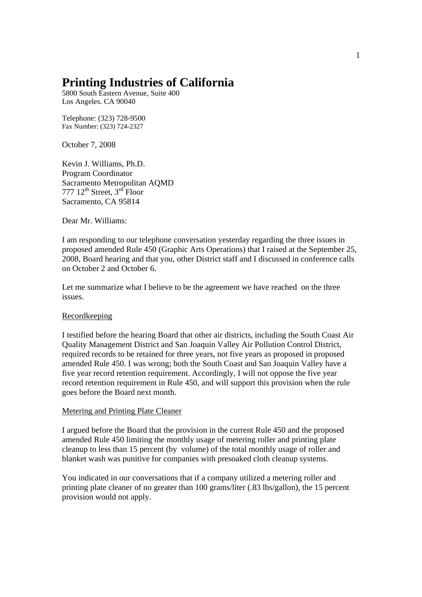# **Printing Industries of California**

5800 South Eastern Avenue, Suite 400 Los Angeles. CA 90040

Telephone: (323) 728-9500 Fax Number: (323) 724-2327

October 7, 2008

Kevin J. Williams, Ph.D. Program Coordinator Sacramento Metropolitan AQMD 777  $12^{th}$  Street,  $3^{rd}$  Floor Sacramento, CA 95814

Dear Mr. Williams:

I am responding to our telephone conversation yesterday regarding the three issues in proposed amended Rule 450 (Graphic Arts Operations) that I raised at the September 25, 2008, Board hearing and that you, other District staff and I discussed in conference calls on October 2 and October 6.

Let me summarize what I believe to be the agreement we have reached on the three issues.

### Recordkeeping

I testified before the hearing Board that other air districts, including the South Coast Air Quality Management District and San Joaquin Valley Air Pollution Control District, required records to be retained for three years, not five years as proposed in proposed amended Rule 450. I was wrong; both the South Coast and San Joaquin Valley have a five year record retention requirement. Accordingly, I will not oppose the five year record retention requirement in Rule 450, and will support this provision when the rule goes before the Board next month.

### Metering and Printing Plate Cleaner

I argued before the Board that the provision in the current Rule 450 and the proposed amended Rule 450 limiting the monthly usage of metering roller and printing plate cleanup to less than 15 percent (by volume) of the total monthly usage of roller and blanket wash was punitive for companies with presoaked cloth cleanup systems.

You indicated in our conversations that if a company utilized a metering roller and printing plate cleaner of no greater than 100 grams/liter (.83 lbs/gallon), the 15 percent provision would not apply.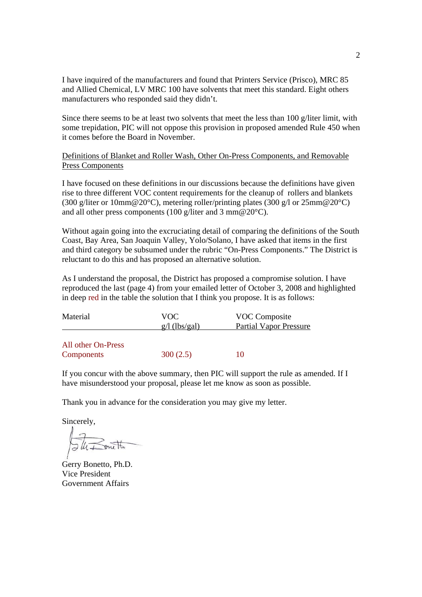I have inquired of the manufacturers and found that Printers Service (Prisco), MRC 85 and Allied Chemical, LV MRC 100 have solvents that meet this standard. Eight others manufacturers who responded said they didn't.

Since there seems to be at least two solvents that meet the less than 100 g/liter limit, with some trepidation, PIC will not oppose this provision in proposed amended Rule 450 when it comes before the Board in November.

Definitions of Blanket and Roller Wash, Other On-Press Components, and Removable Press Components

I have focused on these definitions in our discussions because the definitions have given rise to three different VOC content requirements for the cleanup of rollers and blankets (300 g/liter or 10mm@20°C), metering roller/printing plates (300 g/l or 25mm@20°C) and all other press components (100 g/liter and 3 mm@20°C).

Without again going into the excruciating detail of comparing the definitions of the South Coast, Bay Area, San Joaquin Valley, Yolo/Solano, I have asked that items in the first and third category be subsumed under the rubric "On-Press Components." The District is reluctant to do this and has proposed an alternative solution.

As I understand the proposal, the District has proposed a compromise solution. I have reproduced the last (page 4) from your emailed letter of October 3, 2008 and highlighted in deep red in the table the solution that I think you propose. It is as follows:

| Material                         | VOC.<br>$g/l$ (lbs/gal) | VOC Composite<br><b>Partial Vapor Pressure</b> |
|----------------------------------|-------------------------|------------------------------------------------|
| All other On-Press<br>Components | 300(2.5)                | 10                                             |

If you concur with the above summary, then PIC will support the rule as amended. If I have misunderstood your proposal, please let me know as soon as possible.

Thank you in advance for the consideration you may give my letter.

Sincerely,

JU Bout

Gerry Bonetto, Ph.D. Vice President Government Affairs